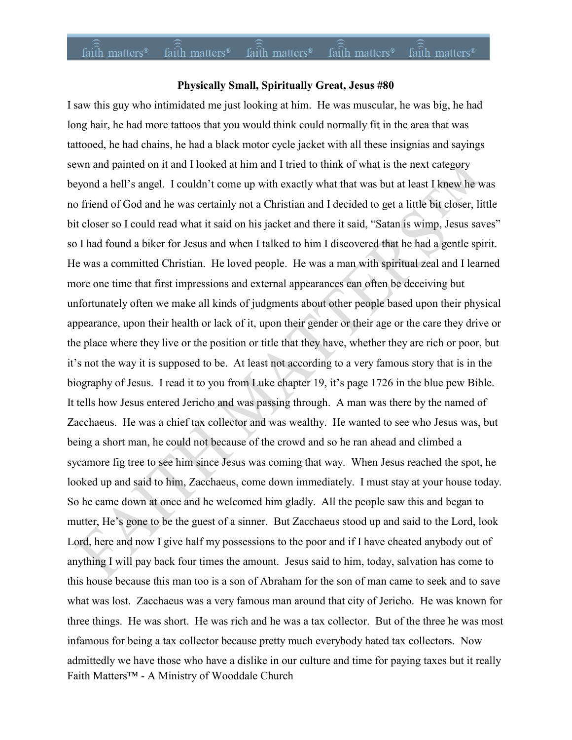# **Physically Small, Spiritually Great, Jesus #80**

Faith Matters™ - A Ministry of Wooddale Church I saw this guy who intimidated me just looking at him. He was muscular, he was big, he had long hair, he had more tattoos that you would think could normally fit in the area that was tattooed, he had chains, he had a black motor cycle jacket with all these insignias and sayings sewn and painted on it and I looked at him and I tried to think of what is the next category beyond a hell's angel. I couldn't come up with exactly what that was but at least I knew he was no friend of God and he was certainly not a Christian and I decided to get a little bit closer, little bit closer so I could read what it said on his jacket and there it said, "Satan is wimp, Jesus saves" so I had found a biker for Jesus and when I talked to him I discovered that he had a gentle spirit. He was a committed Christian. He loved people. He was a man with spiritual zeal and I learned more one time that first impressions and external appearances can often be deceiving but unfortunately often we make all kinds of judgments about other people based upon their physical appearance, upon their health or lack of it, upon their gender or their age or the care they drive or the place where they live or the position or title that they have, whether they are rich or poor, but it's not the way it is supposed to be. At least not according to a very famous story that is in the biography of Jesus. I read it to you from Luke chapter 19, it's page 1726 in the blue pew Bible. It tells how Jesus entered Jericho and was passing through. A man was there by the named of Zacchaeus. He was a chief tax collector and was wealthy. He wanted to see who Jesus was, but being a short man, he could not because of the crowd and so he ran ahead and climbed a sycamore fig tree to see him since Jesus was coming that way. When Jesus reached the spot, he looked up and said to him, Zacchaeus, come down immediately. I must stay at your house today. So he came down at once and he welcomed him gladly. All the people saw this and began to mutter, He's gone to be the guest of a sinner. But Zacchaeus stood up and said to the Lord, look Lord, here and now I give half my possessions to the poor and if I have cheated anybody out of anything I will pay back four times the amount. Jesus said to him, today, salvation has come to this house because this man too is a son of Abraham for the son of man came to seek and to save what was lost. Zacchaeus was a very famous man around that city of Jericho. He was known for three things. He was short. He was rich and he was a tax collector. But of the three he was most infamous for being a tax collector because pretty much everybody hated tax collectors. Now admittedly we have those who have a dislike in our culture and time for paying taxes but it really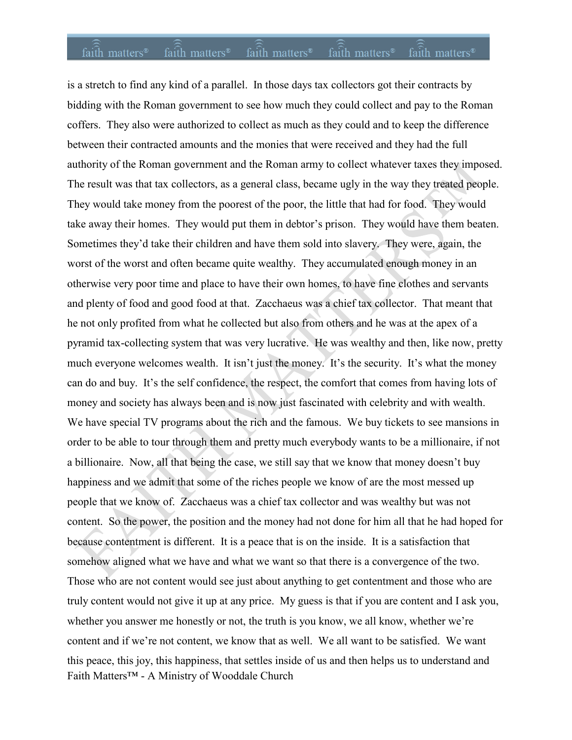Faith Matters™ - A Ministry of Wooddale Church is a stretch to find any kind of a parallel. In those days tax collectors got their contracts by bidding with the Roman government to see how much they could collect and pay to the Roman coffers. They also were authorized to collect as much as they could and to keep the difference between their contracted amounts and the monies that were received and they had the full authority of the Roman government and the Roman army to collect whatever taxes they imposed. The result was that tax collectors, as a general class, became ugly in the way they treated people. They would take money from the poorest of the poor, the little that had for food. They would take away their homes. They would put them in debtor's prison. They would have them beaten. Sometimes they'd take their children and have them sold into slavery. They were, again, the worst of the worst and often became quite wealthy. They accumulated enough money in an otherwise very poor time and place to have their own homes, to have fine clothes and servants and plenty of food and good food at that. Zacchaeus was a chief tax collector. That meant that he not only profited from what he collected but also from others and he was at the apex of a pyramid tax-collecting system that was very lucrative. He was wealthy and then, like now, pretty much everyone welcomes wealth. It isn't just the money. It's the security. It's what the money can do and buy. It's the self confidence, the respect, the comfort that comes from having lots of money and society has always been and is now just fascinated with celebrity and with wealth. We have special TV programs about the rich and the famous. We buy tickets to see mansions in order to be able to tour through them and pretty much everybody wants to be a millionaire, if not a billionaire. Now, all that being the case, we still say that we know that money doesn't buy happiness and we admit that some of the riches people we know of are the most messed up people that we know of. Zacchaeus was a chief tax collector and was wealthy but was not content. So the power, the position and the money had not done for him all that he had hoped for because contentment is different. It is a peace that is on the inside. It is a satisfaction that somehow aligned what we have and what we want so that there is a convergence of the two. Those who are not content would see just about anything to get contentment and those who are truly content would not give it up at any price. My guess is that if you are content and I ask you, whether you answer me honestly or not, the truth is you know, we all know, whether we're content and if we're not content, we know that as well. We all want to be satisfied. We want this peace, this joy, this happiness, that settles inside of us and then helps us to understand and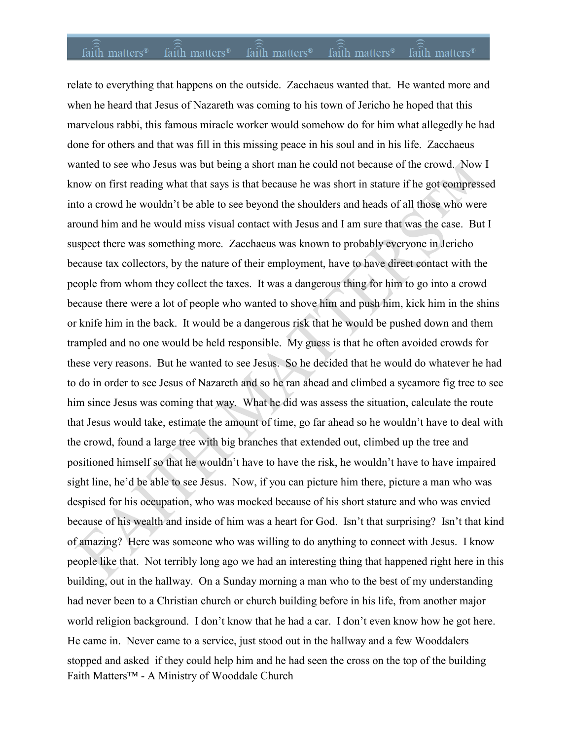Faith Matters™ - A Ministry of Wooddale Church relate to everything that happens on the outside. Zacchaeus wanted that. He wanted more and when he heard that Jesus of Nazareth was coming to his town of Jericho he hoped that this marvelous rabbi, this famous miracle worker would somehow do for him what allegedly he had done for others and that was fill in this missing peace in his soul and in his life. Zacchaeus wanted to see who Jesus was but being a short man he could not because of the crowd. Now I know on first reading what that says is that because he was short in stature if he got compressed into a crowd he wouldn't be able to see beyond the shoulders and heads of all those who were around him and he would miss visual contact with Jesus and I am sure that was the case. But I suspect there was something more. Zacchaeus was known to probably everyone in Jericho because tax collectors, by the nature of their employment, have to have direct contact with the people from whom they collect the taxes. It was a dangerous thing for him to go into a crowd because there were a lot of people who wanted to shove him and push him, kick him in the shins or knife him in the back. It would be a dangerous risk that he would be pushed down and them trampled and no one would be held responsible. My guess is that he often avoided crowds for these very reasons. But he wanted to see Jesus. So he decided that he would do whatever he had to do in order to see Jesus of Nazareth and so he ran ahead and climbed a sycamore fig tree to see him since Jesus was coming that way. What he did was assess the situation, calculate the route that Jesus would take, estimate the amount of time, go far ahead so he wouldn't have to deal with the crowd, found a large tree with big branches that extended out, climbed up the tree and positioned himself so that he wouldn't have to have the risk, he wouldn't have to have impaired sight line, he'd be able to see Jesus. Now, if you can picture him there, picture a man who was despised for his occupation, who was mocked because of his short stature and who was envied because of his wealth and inside of him was a heart for God. Isn't that surprising? Isn't that kind of amazing? Here was someone who was willing to do anything to connect with Jesus. I know people like that. Not terribly long ago we had an interesting thing that happened right here in this building, out in the hallway. On a Sunday morning a man who to the best of my understanding had never been to a Christian church or church building before in his life, from another major world religion background. I don't know that he had a car. I don't even know how he got here. He came in. Never came to a service, just stood out in the hallway and a few Wooddalers stopped and asked if they could help him and he had seen the cross on the top of the building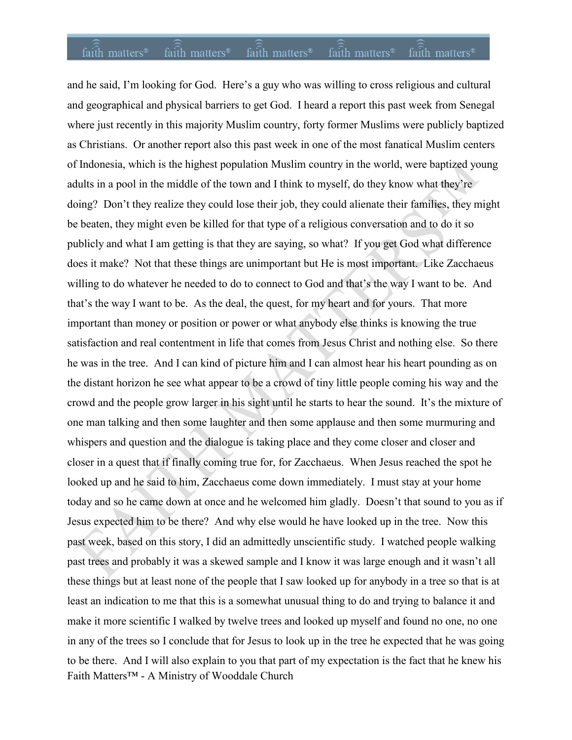Faith Matters™ - A Ministry of Wooddale Church and he said, I'm looking for God. Here's a guy who was willing to cross religious and cultural and geographical and physical barriers to get God. I heard a report this past week from Senegal where just recently in this majority Muslim country, forty former Muslims were publicly baptized as Christians. Or another report also this past week in one of the most fanatical Muslim centers of Indonesia, which is the highest population Muslim country in the world, were baptized young adults in a pool in the middle of the town and I think to myself, do they know what they're doing? Don't they realize they could lose their job, they could alienate their families, they might be beaten, they might even be killed for that type of a religious conversation and to do it so publicly and what I am getting is that they are saying, so what? If you get God what difference does it make? Not that these things are unimportant but He is most important. Like Zacchaeus willing to do whatever he needed to do to connect to God and that's the way I want to be. And that's the way I want to be. As the deal, the quest, for my heart and for yours. That more important than money or position or power or what anybody else thinks is knowing the true satisfaction and real contentment in life that comes from Jesus Christ and nothing else. So there he was in the tree. And I can kind of picture him and I can almost hear his heart pounding as on the distant horizon he see what appear to be a crowd of tiny little people coming his way and the crowd and the people grow larger in his sight until he starts to hear the sound. It's the mixture of one man talking and then some laughter and then some applause and then some murmuring and whispers and question and the dialogue is taking place and they come closer and closer and closer in a quest that if finally coming true for, for Zacchaeus. When Jesus reached the spot he looked up and he said to him, Zacchaeus come down immediately. I must stay at your home today and so he came down at once and he welcomed him gladly. Doesn't that sound to you as if Jesus expected him to be there? And why else would he have looked up in the tree. Now this past week, based on this story, I did an admittedly unscientific study. I watched people walking past trees and probably it was a skewed sample and I know it was large enough and it wasn't all these things but at least none of the people that I saw looked up for anybody in a tree so that is at least an indication to me that this is a somewhat unusual thing to do and trying to balance it and make it more scientific I walked by twelve trees and looked up myself and found no one, no one in any of the trees so I conclude that for Jesus to look up in the tree he expected that he was going to be there. And I will also explain to you that part of my expectation is the fact that he knew his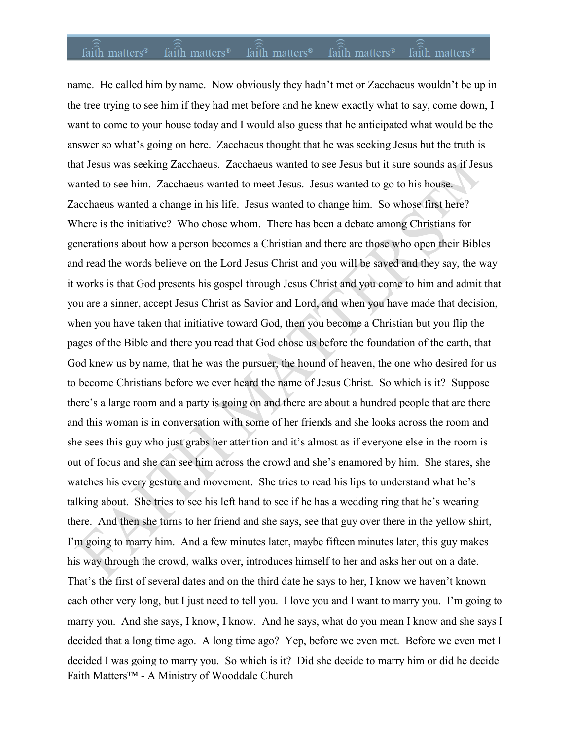Faith Matters™ - A Ministry of Wooddale Church name. He called him by name. Now obviously they hadn't met or Zacchaeus wouldn't be up in the tree trying to see him if they had met before and he knew exactly what to say, come down, I want to come to your house today and I would also guess that he anticipated what would be the answer so what's going on here. Zacchaeus thought that he was seeking Jesus but the truth is that Jesus was seeking Zacchaeus. Zacchaeus wanted to see Jesus but it sure sounds as if Jesus wanted to see him. Zacchaeus wanted to meet Jesus. Jesus wanted to go to his house. Zacchaeus wanted a change in his life. Jesus wanted to change him. So whose first here? Where is the initiative? Who chose whom. There has been a debate among Christians for generations about how a person becomes a Christian and there are those who open their Bibles and read the words believe on the Lord Jesus Christ and you will be saved and they say, the way it works is that God presents his gospel through Jesus Christ and you come to him and admit that you are a sinner, accept Jesus Christ as Savior and Lord, and when you have made that decision, when you have taken that initiative toward God, then you become a Christian but you flip the pages of the Bible and there you read that God chose us before the foundation of the earth, that God knew us by name, that he was the pursuer, the hound of heaven, the one who desired for us to become Christians before we ever heard the name of Jesus Christ. So which is it? Suppose there's a large room and a party is going on and there are about a hundred people that are there and this woman is in conversation with some of her friends and she looks across the room and she sees this guy who just grabs her attention and it's almost as if everyone else in the room is out of focus and she can see him across the crowd and she's enamored by him. She stares, she watches his every gesture and movement. She tries to read his lips to understand what he's talking about. She tries to see his left hand to see if he has a wedding ring that he's wearing there. And then she turns to her friend and she says, see that guy over there in the yellow shirt, I'm going to marry him. And a few minutes later, maybe fifteen minutes later, this guy makes his way through the crowd, walks over, introduces himself to her and asks her out on a date. That's the first of several dates and on the third date he says to her, I know we haven't known each other very long, but I just need to tell you. I love you and I want to marry you. I'm going to marry you. And she says, I know, I know. And he says, what do you mean I know and she says I decided that a long time ago. A long time ago? Yep, before we even met. Before we even met I decided I was going to marry you. So which is it? Did she decide to marry him or did he decide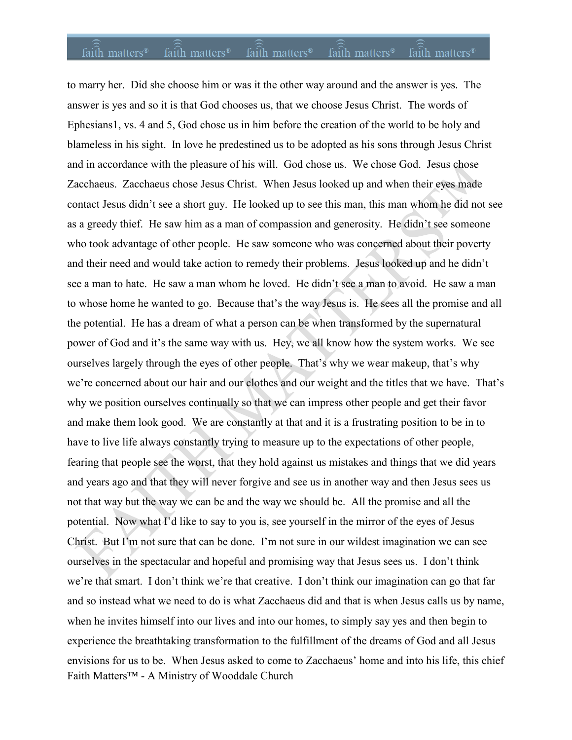Faith Matters™ - A Ministry of Wooddale Church to marry her. Did she choose him or was it the other way around and the answer is yes. The answer is yes and so it is that God chooses us, that we choose Jesus Christ. The words of Ephesians1, vs. 4 and 5, God chose us in him before the creation of the world to be holy and blameless in his sight. In love he predestined us to be adopted as his sons through Jesus Christ and in accordance with the pleasure of his will. God chose us. We chose God. Jesus chose Zacchaeus. Zacchaeus chose Jesus Christ. When Jesus looked up and when their eyes made contact Jesus didn't see a short guy. He looked up to see this man, this man whom he did not see as a greedy thief. He saw him as a man of compassion and generosity. He didn't see someone who took advantage of other people. He saw someone who was concerned about their poverty and their need and would take action to remedy their problems. Jesus looked up and he didn't see a man to hate. He saw a man whom he loved. He didn't see a man to avoid. He saw a man to whose home he wanted to go. Because that's the way Jesus is. He sees all the promise and all the potential. He has a dream of what a person can be when transformed by the supernatural power of God and it's the same way with us. Hey, we all know how the system works. We see ourselves largely through the eyes of other people. That's why we wear makeup, that's why we're concerned about our hair and our clothes and our weight and the titles that we have. That's why we position ourselves continually so that we can impress other people and get their favor and make them look good. We are constantly at that and it is a frustrating position to be in to have to live life always constantly trying to measure up to the expectations of other people, fearing that people see the worst, that they hold against us mistakes and things that we did years and years ago and that they will never forgive and see us in another way and then Jesus sees us not that way but the way we can be and the way we should be. All the promise and all the potential. Now what I'd like to say to you is, see yourself in the mirror of the eyes of Jesus Christ. But I'm not sure that can be done. I'm not sure in our wildest imagination we can see ourselves in the spectacular and hopeful and promising way that Jesus sees us. I don't think we're that smart. I don't think we're that creative. I don't think our imagination can go that far and so instead what we need to do is what Zacchaeus did and that is when Jesus calls us by name, when he invites himself into our lives and into our homes, to simply say yes and then begin to experience the breathtaking transformation to the fulfillment of the dreams of God and all Jesus envisions for us to be. When Jesus asked to come to Zacchaeus' home and into his life, this chief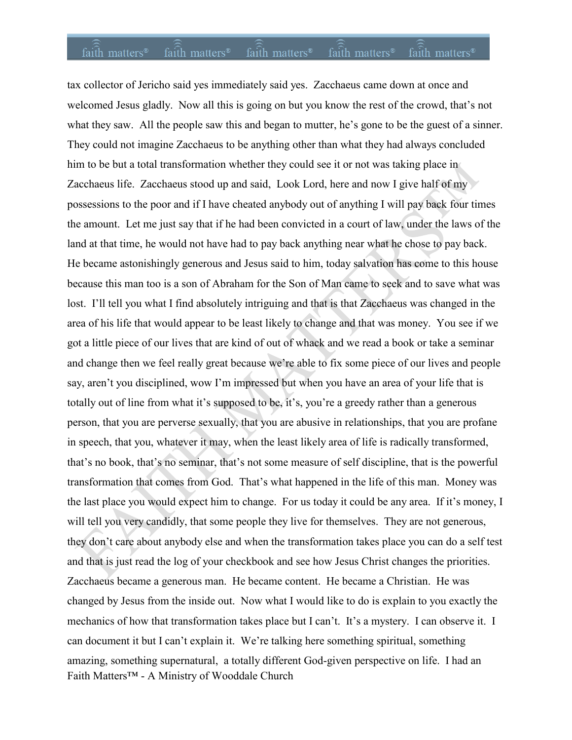Faith Matters™ - A Ministry of Wooddale Church tax collector of Jericho said yes immediately said yes. Zacchaeus came down at once and welcomed Jesus gladly. Now all this is going on but you know the rest of the crowd, that's not what they saw. All the people saw this and began to mutter, he's gone to be the guest of a sinner. They could not imagine Zacchaeus to be anything other than what they had always concluded him to be but a total transformation whether they could see it or not was taking place in Zacchaeus life. Zacchaeus stood up and said, Look Lord, here and now I give half of my possessions to the poor and if I have cheated anybody out of anything I will pay back four times the amount. Let me just say that if he had been convicted in a court of law, under the laws of the land at that time, he would not have had to pay back anything near what he chose to pay back. He became astonishingly generous and Jesus said to him, today salvation has come to this house because this man too is a son of Abraham for the Son of Man came to seek and to save what was lost. I'll tell you what I find absolutely intriguing and that is that Zacchaeus was changed in the area of his life that would appear to be least likely to change and that was money. You see if we got a little piece of our lives that are kind of out of whack and we read a book or take a seminar and change then we feel really great because we're able to fix some piece of our lives and people say, aren't you disciplined, wow I'm impressed but when you have an area of your life that is totally out of line from what it's supposed to be, it's, you're a greedy rather than a generous person, that you are perverse sexually, that you are abusive in relationships, that you are profane in speech, that you, whatever it may, when the least likely area of life is radically transformed, that's no book, that's no seminar, that's not some measure of self discipline, that is the powerful transformation that comes from God. That's what happened in the life of this man. Money was the last place you would expect him to change. For us today it could be any area. If it's money, I will tell you very candidly, that some people they live for themselves. They are not generous, they don't care about anybody else and when the transformation takes place you can do a self test and that is just read the log of your checkbook and see how Jesus Christ changes the priorities. Zacchaeus became a generous man. He became content. He became a Christian. He was changed by Jesus from the inside out. Now what I would like to do is explain to you exactly the mechanics of how that transformation takes place but I can't. It's a mystery. I can observe it. I can document it but I can't explain it. We're talking here something spiritual, something amazing, something supernatural, a totally different God-given perspective on life. I had an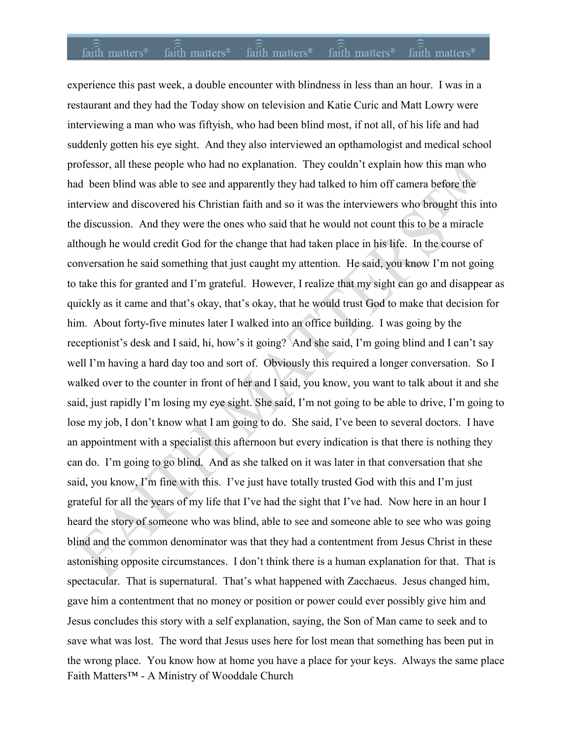Faith Matters™ - A Ministry of Wooddale Church experience this past week, a double encounter with blindness in less than an hour. I was in a restaurant and they had the Today show on television and Katie Curic and Matt Lowry were interviewing a man who was fiftyish, who had been blind most, if not all, of his life and had suddenly gotten his eye sight. And they also interviewed an opthamologist and medical school professor, all these people who had no explanation. They couldn't explain how this man who had been blind was able to see and apparently they had talked to him off camera before the interview and discovered his Christian faith and so it was the interviewers who brought this into the discussion. And they were the ones who said that he would not count this to be a miracle although he would credit God for the change that had taken place in his life. In the course of conversation he said something that just caught my attention. He said, you know I'm not going to take this for granted and I'm grateful. However, I realize that my sight can go and disappear as quickly as it came and that's okay, that's okay, that he would trust God to make that decision for him. About forty-five minutes later I walked into an office building. I was going by the receptionist's desk and I said, hi, how's it going? And she said, I'm going blind and I can't say well I'm having a hard day too and sort of. Obviously this required a longer conversation. So I walked over to the counter in front of her and I said, you know, you want to talk about it and she said, just rapidly I'm losing my eye sight. She said, I'm not going to be able to drive, I'm going to lose my job, I don't know what I am going to do. She said, I've been to several doctors. I have an appointment with a specialist this afternoon but every indication is that there is nothing they can do. I'm going to go blind. And as she talked on it was later in that conversation that she said, you know, I'm fine with this. I've just have totally trusted God with this and I'm just grateful for all the years of my life that I've had the sight that I've had. Now here in an hour I heard the story of someone who was blind, able to see and someone able to see who was going blind and the common denominator was that they had a contentment from Jesus Christ in these astonishing opposite circumstances. I don't think there is a human explanation for that. That is spectacular. That is supernatural. That's what happened with Zacchaeus. Jesus changed him, gave him a contentment that no money or position or power could ever possibly give him and Jesus concludes this story with a self explanation, saying, the Son of Man came to seek and to save what was lost. The word that Jesus uses here for lost mean that something has been put in the wrong place. You know how at home you have a place for your keys. Always the same place